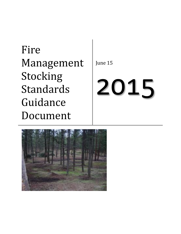Fire Management Stocking Standards Guidance Document

June 15

# 2015

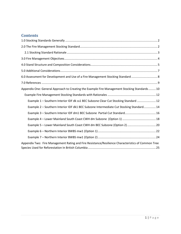# **Contents**

| 6.0 Assessment for Development and Use of a Fire Management Stocking Standard                      |
|----------------------------------------------------------------------------------------------------|
|                                                                                                    |
| Appendix One: General Approach to Creating the Example Fire Management Stocking Standards 10       |
|                                                                                                    |
| Example 1 - Southern Interior IDF dk ss1 BEC Subzone Clear Cut Stocking Standard  12               |
| Example 2 - Southern Interior IDF dk1 BEC Subzone Intermediate Cut Stocking Standard 14            |
|                                                                                                    |
|                                                                                                    |
| Example 5 - Lower Mainland South Coast CWH dm BEC Subzone (Option 2)  20                           |
|                                                                                                    |
|                                                                                                    |
| Appendix Two: Fire Management Rating and Fire Resistance/Resilience Characteristics of Common Tree |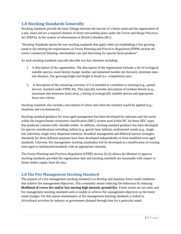# <span id="page-2-0"></span>**1.0 Stocking Standards Generally**

Stocking standards provide the basic linkage between the harvest of a forest stand and the regeneration of a new stand and are a required element of forest stewardship plans under the *Forest and Range Practices Act* (FRPA). In the context of reforestation in British Columbia (BC):

"Stocking Standards means the tree stocking standards that apply when (a) establishing a free growing stand or (b) meeting the requirements of *Forest Planning and Practices Regulation* (FPPR) section 44 covers commercial thinning, intermediate cuts and harvesting for special forest products".

As such stocking standards typically describe two key elements including:

- 1. A description of the regeneration. The description of the regeneration includes a list of ecological suitable species, stand density (target number and minimum number per hectare), minimum intertree distance, free growing height and height to brush (i.e. competition) ratio.
- 2. A description of the remaining overstory if it is intended to contribute to stocking (e.g., partial harvest, standard under FPPR 44). This typically includes description of residual density (e.g., maximum and minimum basal area), a listing of ecologically suitable species and appropriate leave tree criteria.

Stocking standards also include a description of where and when the standard would be applied (e.g., situations and circumstances).

Stocking standard guidance for even-aged management has been developed for subzones and site series within the biogeoclimatic ecosystem classification (BEC) system used within BC for those BEC types that produced commercially valuable timber. In addition, stocking standard guidance has been developed for special considerations including; habitat (e.g. grizzly bear habitat), multistoried stands (e.g., single tree selection), single entry dispersed retention, broadleaf management and different harvest strategies. Standards for these different purposes have been developed independently or from modified even-aged standards. Likewise, fire management stocking standard(s) will be developed as a modification of existing even-aged or multistoried standards with an appropriate rationale.

The *Forest Planning and Practices Regulation* (FPPR) section 26 (5) allows the Minister to approve stocking standards provided the regeneration date and stocking standards are reasonable with respect to future timber supply from the area.

## <span id="page-2-1"></span>**2.0 The Fire Management Stocking Standard**

The purpose of a fire management stocking standard is to develop and maintain forest stand conditions that achieve fire management objectives. This commonly means reducing fire behaviour by reducing **likelihood of crown fire and/or fast-moving high intensity ground fire**. Forest stands are not static and fire management stocking standards seek to enable or achieve fire management objectives as the forest stand changes. For this reason maintenance of fire management stocking standards is linked to silvicultural activities by industry or government planned through time for a particular stand.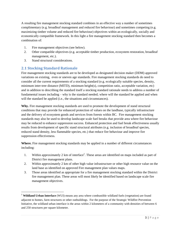A resulting fire management stocking standard combines in an effective way a number of sometimes complimentary (e.g. broadleaf management and reduced fire behaviour) and sometimes competing (e.g. maximizing timber volume and reduced fire behaviour) objectives within an ecologically, socially and economically compatible framework. In this light a fire management stocking standard then becomes a combination of:

- 1. Fire management objectives (see below).
- 2. Other compatible objectives (e.g. acceptable timber production, ecosystem restoration, broadleaf management, etc.).
- 3. Stand structural considerations.

## <span id="page-3-0"></span>**2.1 Stocking Standard Rationale**

 $\overline{\phantom{a}}$ 

Fire management stocking standards are to be developed as designated decision maker (DDM) approved variations on existing, even or uneven age standards. Fire management stocking standards do need to consider all the current requirements of a stocking standard (e.g. ecologically suitable species, density, minimum inter-tree distance (MITD), minimum height(s), competition ratio, acceptable variation, etc) and in addition to describing the standard itself a stocking standard rationale needs to address a number of fundamental issues including – why is the standard needed; where will the standard be applied and when will the standard be applied (i.e., the situations and circumstances).

**Why.** Fire management stocking standards are used to promote the development of stand structural conditions that may provide for enhanced protection of values on the landbase, typically infrastructure and the delivery of ecosystem goods and services from forests within BC. Fire management stocking standards may also be used to develop landscape scale fuel breaks that provide area where fire behaviour may be reduced to enhance suppression success. Enhanced protection and fuel break effectiveness usually results from development of specific stand structural attributes (e.g. inclusion of broadleaf species, reduced stand density, less flammable species, etc.) that reduce fire behaviour and improve fire suppression effectiveness.

**Where.** Fire management stocking standards may be applied in a number of different circumstances including:

- 1. Within approximately 2 km of interface<sup>1</sup>. These areas are identified on maps included as part of District fire management plans.
- 2. Within approximately 2 km of other high value infrastructure or other high resource value on the land base as identified on approved Fire management plan values maps.
- 3. Those areas identified as appropriate for a fire management stocking standard within the District fire management plan. These areas will most likely be identified based on landscape scale fire management objectives.

<sup>&</sup>lt;sup>1</sup> Wildland Urban Interface (WUI) means any area where combustible wildland fuels (vegetation) are found adjacent to homes, farm structures or other outbuildings. For the purpose of the Strategic Wildfire Prevention Initiative, the wildland urban interface is the areas within 2 kilometers of a community with densities of between 6 and 250 structures per square kilometer.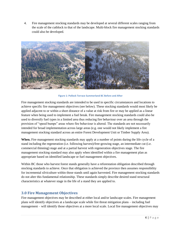4. Fire management stocking standards may be developed at several different scales ranging from the scale of the cutblock to that of the landscape. Multi-block fire management stocking standards could also be developed.



**Figure 1: Pollock Terrace Summerland BC Before and After**

Fire management stocking standards are intended to be used in specific circumstances and locations to achieve specific fire management objectives (see below). These stocking standards would most likely be applied adjacent to or within a short distance of a value at risk from fire or may be applied as a linear feature when being used to implement a fuel break. Fire management stocking standards could also be used to diversify fuel types in a limited area thus reducing fire behaviour over an area through the provision of "speed bumps" areas where fire behaviour is altered. The standards are not necessarily intended for broad implementation across large areas (e.g. one would not likely implement a fire management stocking standard across an entire Forest Development Unit or Timber Supply Area).

**When.** Fire management stocking standards may apply at a number of points during the life cycle of a stand including the regeneration (i.e. following harvest)/free-growing stage, an intermediate cut (i.e. commercial thinning) stage and at a partial harvest with regeneration objectives stage. The fire management stocking standard may also apply when identified within a fire management plan as appropriate based on identified landscape or fuel management objectives.

Within BC those who harvest forest stands generally have a reforestation obligation described through stocking standards to achieve. Once that obligation is achieved the province then assumes responsibility for incremental silviculture within those stands until again harvested. Fire management stocking standards do not alter this fundamental relationship. These standards simply describe desired stand structural characteristics at whatever stage in the life of a stand they are applied to.

## <span id="page-4-0"></span>**3.0 Fire Management Objectives**

Fire management objectives may be described at either local and/or landscape scales. Fire management plans will identify objectives at a landscape scale while fire threat mitigation plans – including fuel management – will identify those objectives at a more local scale. Local fire management objectives may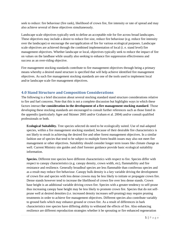seek to reduce: fire behaviour (fire rank), likelihood of crown fire, fire intensity or rate of spread and may also achieve several of these objectives simultaneously.

Landscape scale objectives typically seek to define an acceptable role for fire across broad landscapes. These objectives may include a desire to reduce fire size, reduce fire behaviour (e.g. reduce fire intensity over the landscape) or encourage the use/application of fire for various ecological purposes. Landscape scale objectives are achieved through the combined implementation of local (i. e. stand level) fire management objectives. Whether landscape or local, objectives typically seek to reduce the impact of fire on values on the landbase while usually also seeking to enhance fire suppression effectiveness and success as an over-riding objective.

Fire management stocking standards contribute to fire management objectives through being a primary means whereby a desired stand structure is specified that will help achieve identified fire management objectives. As such fire management stocking standards are one of the tools used to implement local and/or landscape scale fire management objectives.

## <span id="page-5-0"></span>**4.0 Stand Structure and Composition Considerations**

The following is a brief discussion about several stocking standard stand structure considerations relative to fire and fuel concerns. Note that this is not a complete discussion but highlights ways in which these factors interact **for consideration in the development of a fire management stocking standard**. Those developing these stocking standards are encouraged to consult further references such as those listed in the appendix (particularly Agee and Skinner 2005 and/or Graham et al. 2004) and/or consult qualified professionals or both.

**Ecological Suitability.** Tree species selected do need to be ecologically suited. Use of mal-adapted species, within a fire management stocking standard, because of their desirable fire characteristics is not likely to result in achieving the desired fire and other forest management objectives. In a similar fashion use of species that tend to be subject to multiple forest health issues may also not meet fire management or other objectives. Suitability should consider longer term issues like climate change as well. Current Ministry site guides and chief forester guidance provide basic ecological suitability information.

**Species.** Different tree species have different characteristics with respect to fire. Species differ with respect to canopy characteristics (e.g. canopy density, crown width, etc), flammability and fire resistance and resilience. Generally broadleaf species are less flammable than coniferous species and as a result may reduce fire behaviour. Canopy bulk density is a key variable driving the development of crown fire and species with less dense crowns may be less likely to initiate or propagate crown fire. Dense stands however tend to increase the likelihood of crown fire over less dense stands. Crown base height is an additional variable driving crown fire. Species with a greater tendency to self-prune thus increasing canopy base height may be less likely to promote crown fire. Species that do not selfprune well at desired densities (i.e. increased density increases self-pruning) may require pruning treatments in order to achieve fire management objectives. Different species also contribute variably to ground fuels which may enhance ground or crown fire. As a result of differences in bark characteristics tree species have differing ability to withstand the effects of fire. Also enhancing resilience are different reproduction strategies whether it be sprouting or fire enhanced regeneration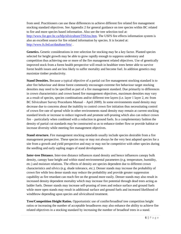from seed. Practitioners can use these differences to achieve different fire related fire management stocking standard objectives. See Appendix 2 for general guidance on tree species within BC related to fire and more species based information. Also see the tree selection tool at: [http://www.for.gov.bc.ca/hfp/silviculture/TSS/tss.htm.](http://www.for.gov.bc.ca/hfp/silviculture/TSS/tss.htm) The USFS fire effects information system is also an excellent source for fire related information by species. It is located at: <http://www.fs.fed.us/database/feis/> .

Genetics. Genetic considerations in tree selection for stocking may be a key factor. Planted species selected for height growth may be able to grow rapidly enough to suppress understory and competition thus achieving one or more of the fire management related objectives. Use of genetically improved stock from a forest health perspective will result in healthier trees better able to survive forest health issues and are less likely to suffer mortality and become fuel. In addition genetics may maximize timber productivity.

**Stand Densities.** Because a typical objective of a partial cut fire management stocking standard is to alter fire behaviour and dense forest commonly encourages extreme fire behaviour target stocking densities may need to be specified as part of a fire management standard. Due primarily to differences in crown characteristics and crown based fire management objectives, maximum densities may vary as a result of species, species combinations and/or different tree layers (i.e. layer 1 layer 2, etc from BC Silviculture Survey Procedures Manual – April 2009). In some environments stand density may decrease due to concerns about the inability to control crown fire initiation thus necessitating control of crown fire rate of spread while in other environments stand density may remain at current stocking standard levels or increase to reduce ingrowth and promote self-pruning which also can reduce crown fire – particularly when combined with a reduction in ground fuels. In a complementary fashion the density of partial cut standards may be constructed so as to enhance timber flow or provide habitat or increase diversity while meeting fire management objectives.

**Stand structure.** Fire management stocking standards usually include species desirable from a fire management perspective. These species may or may not always be the very best adapted species for a site from a growth and yield perspective and may or may not be competitive with other species during the seedling and early sapling stages of stand development.

**Inter-tree Distance.** Inter-tree distance influences stand density and hence influences canopy bulk density, canopy base height and within stand environmental parameters (e.g. temperature, humidity, etc.) and moisture relations. The effects of density are species dependent due to different crown characteristics and silvics (e.g. shade tolerance, etc.). Denser stands may increase the probability of crown fire while less dense stands may reduce the probability and provide greater suppression capability as fire retardant can reach fire on the ground more easily. Denser stands may also result in increased density dependent mortality which may increase fire potential through dead trees acting as ladder fuels. Denser stands may increase self-pruning of trees and reduce surface and ground fuels while more open stands may result in additional surface and ground fuels and increased likelihood of windthrow depending upon species and silvicultural treatment.

**Tree/Competition Height Ratios.** Opportunistic use of conifer/broadleaf tree competition height ratios or increasing the number of acceptable broadleaves may also enhance the ability to achieve fire related objectives in a stocking standard by increasing the number of broadleaf trees in a stand.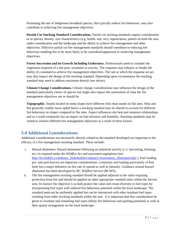Promoting the use of indigenous broadleaf species, that typically reduce fire behaviour, may also contribute to achieving fire management objectives.

**Partial Cut Stocking Standard Considerations.** Partial cut stocking standards require consideration as to species, density, tree characteristics (e.g. health, size, etc), regeneration, pattern on both the area under consideration and the landscape and the ability to achieve fire management and other objectives. Effective partial cut fire management standards should contribute to reducing fire behaviour enabling fire to be more likely to be controlled/suppressed or achieving management objectives.

**Forest Succession and In-Growth Including Understory.** Professionals need to consider the vegetation response of a site post- treatment or activity. The response may enhance or hinder the ability of a standard to achieve fire management objectives. The rate at which the response occurs may also impact the design of the stocking standard. Depending upon circumstance the stocking standard may need to address maximum density (see above).

**Climate Change Considerations.** Climate change considerations may influence the design of the standard particularly choice of species but might also impact the assessment of what the fire management objectives are or should be.

**Topographic.** Stands located on steep slopes have different risks than stands on flat sites. Heat and fire generally readily move uphill hence a stocking standard may be altered to account for different fire behaviour on slopes compared to flat sites. Aspect influences site heat and moisture relationships and as a result commonly has an impact on fuel moisture and humidity. Stocking standards may be varied to achieve different fire management objectives as a result of these factors.

# <span id="page-7-0"></span>**5.0 Additional Considerations**

Additional considerations not necessarily directly related to the standard developed are important to the efficacy of a fire management stocking standard. These include:

- i. Hazard abatement. Hazard abatement following an industrial activity (i. e. harvesting, thinning, etc.) is required under the *Wildfire Act* and associated regulations (see: [http://bcwildfire.ca/Industry\\_Stakeholders/industry/Assessment\\_Abatement.htm](http://bcwildfire.ca/Industry_Stakeholders/industry/Assessment_Abatement.htm) ). Fuel loading pre- and post-harvest are important considerations. Continuity and loading particularly of fine fuels has a major influence on fire rate of spread as well as intensity. Guidance around hazard abatement has been developed by BC Wildfire Service (BCWS)..
- ii. The fire management stocking standard should be applied adjacent to the value requiring protection from fire and should be applied on other appropriate standard units within the harvest area. In essence the objective is to both protect the value and create diversity in fuel types by incorporating fuel types with reduced fire behaviour potential within the local landscape. The standard need not be uniformly applied but can be intermixed with other resultant fuel types resulting from other stocking standards within the unit. It is important that due consideration be given to resultant and remaining fuel types (likely fire behaviour and spotting potential) as well as their spatial arrangement on the local landscape.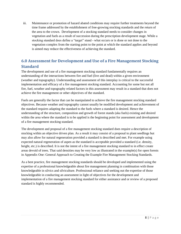iii. Maintenance or promotion of hazard abated conditions may require further treatments beyond the time frame addressed by the establishment of free-growing stocking standards and the return of the area to the crown. Development of a stocking standard needs to consider changes in vegetation and fuels as a result of succession during the prescription development stage. While a stocking standard does define a "target" stand - what occurs or is done or not done to the vegetation complex from the starting point to the point at which the standard applies and beyond is aimed may reduce the effectiveness of achieving the standard.

# <span id="page-8-0"></span>**6.0 Assessment for Development and Use of a Fire Management Stocking Standard**

The development and use of a fire management stocking standard fundamentally requires an understanding of the interactions between fire and fuel (live and dead) within a given environment (weather and topography). Understanding and assessment of this interplay is critical to the successful implementation and efficacy of a fire management stocking standard. Accounting for some but not all fire, fuel, weather and topography related factors in this assessment may result in a standard that does not achieve the fire management or other objectives of the standard.

Fuels are generally the factor that can be manipulated to achieve the fire management stocking standard objectives. Because weather and topography cannot usually be modified development and achievement of the standard requires adapting the standard to the fuels where a standard is desired. Hence the understanding of the structure, composition and growth of forest stands (aka fuels) existing and desired within the area where the standard is to be applied is the beginning point for assessment and development of a fire management stocking standard.

The development and proposal of a fire management stocking standard does require a description of stocking within an objective driven plan. As a result it may consist of a proposal to plant seedlings but may also allow for natural regeneration provided a standard is described and met. For example using expected natural regeneration of aspen as the standard is acceptable provided a standard (i.e. density, height, etc.) is described. It is not the intent of a fire management stocking standard to in effect create areas devoid of trees. That said densities may be very low as illustrated in the example(s) for open forests in Appendix One: General Approach to Creating the Example Fire Management Stocking Standards.

As a best practice, fire management stocking standards should be developed and implemented using the expertise of a professional knowledgeable about fire management planning in combination with those knowledgeable in silvics and silviculture. Professional reliance and seeking out the expertise of those knowledgeable in conducting an assessment in light of objectives for the development and implementation of a fire management stocking standard for either assistance and or review of a proposed standard is highly recommended.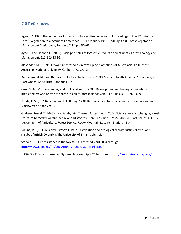## <span id="page-9-0"></span>**7.0 References**

Agee, J.K. 1996. The influence of forest structure on fire behavior. In Proceedings of the 17th Annual Forest Vegetation Management Conference, 16–18 January 1999, Redding, Calif. Forest Vegetation Management Conference, Redding, Calif. pp. 52–67.

Agee, J. and Skinner, C. (2005). Basic principles of forest fuel reduction treatments. Forest Ecology and Management, 211(1-2):83-96.

Alexander, M.E. 1998. Crown fire thresholds in exotic pine plantations of Australasia. Ph.D. thesis, Australian National University, Canberra, Australia.

Burns, Russell M., and Barbara H. Honkala, tech. coords. 1990. Silvics of North America: 1. Conifers; 2. Hardwoods. Agriculture Handbook 654.

Cruz, M. G., M. E. Alexander, and R. H. Wakimoto. 2005. Development and testing of models for predicting crown fire rate of spread in conifer forest stands Can. J. For. Res. 35: 1626–1639

Fonda, R. W., L. A Belanger and L. L. Burley. 1998. Burning characteristics of western conifer needles. Northwest Science 72:1-9

Graham, Russell T.; McCaffrey, Sarah; Jain, Theresa B. (tech. eds.) 2004. Science basis for changing forest structure to modify wildfire behavior and severity. Gen. Tech. Rep. RMRS-GTR-120. Fort Collins, CO: U.S. Department of Agriculture, Forest Service, Rocky Mountain Research Station. 43 p.

Krajina, V. J., K. Klinka and J. Worrall. 1982. Distribution and ecological characteristics of trees and shrubs of British Columbia. The University of British Columbia

Starker, T. J. Fire resistance in the forest. JOF accessed April 2014 through: [http://www.fs.fed.us/rm/pubs/rmrs\\_gtr292/1934\\_starker.pdf](http://www.fs.fed.us/rm/pubs/rmrs_gtr292/1934_starker.pdf)

USDA Fire Effects Information System. Accessed April 2014 through: <http://www.feis-crs.org/beta/>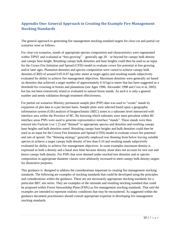## <span id="page-10-0"></span>**Appendix One: General Approach to Creating the Example Fire Management Stocking Standards**

The general approach to generating fire management stocking standard targets for clear-cut and partial cut scenarios were as follows.

For clear-cut scenarios, stands of appropriate species composition and characteristics were regenerated within TIPSY and evaluated at "free-growing" – generally age  $20 -$  or beyond for canopy bulk density and canopy base height. Resulting canopy bulk densities and base heights could then be used as an input for the Crown Fire Initiation and Spread (CFIS) model to evaluate crown fire potential at free growing and/or later ages. Plantation densities and species composition were varied to achieve canopy bulk densities (CBD) of around 0.05-0.07 kg/cubic meter at target age(s) and resulting stands subjectively evaluated for ability to achieve fire management objectives. Maximum densities were generally set based on densities that achieved a target number of approximately 0.10 kg/cu meter that has been suggested as a threshold for crowning in forests and plantations (see Agee 1996, Alexander 1998 and Cruz et al. 2005) but has not been extensively tested or evaluated in natural forest stands. As such it is only a general number and needs validation through treatment effectiveness.

For partial cut scenarios Ministry permanent sample plot (PSP) data was used to "create" stands by expansion of plot data to a per hectare basis. Sample plots were selected based upon a geographic information system (GIS) analysis of biogeoclimatic (BEC) zones to a subzones level intersected with interface area within the Province of BC. By knowing which subzones were most prevalent within BC interface areas PSPs were used to generate representative interface "stands". These stands were then entered into Fuelcalc (ver 1.2) and "thinned" to appropriate species and densities and resulting canopy base heights and bulk densities noted. Resulting canopy base heights and bulk densities could then be used as an input for the Crown Fire Initiation and Spread (CFIS) model to evaluate crown fire potential and rate of spread. The "thinning strategy" generally employed was thinning from below leaving suitable species to achieve a target canopy bulk density of less than 0.10 and resulting stands subjectively evaluated for ability to achieve fire management objectives. In some examples maximum density is expressed as both a density and a basal area limit because density alone does not account for tree size and hence canopy bulk density. For PSPs that were deemed under-stocked tree densities and or species composition in appropriate diameter classes were arbitrarily increased to meet canopy bulk density targets for illustrative purposes.

This guidance is designed to address the considerations important in creating fire management stocking standards. The following are examples of stocking standards that could be developed using the principles and considerations within the guidance. These are not necessarily appropriate stocking standards for a particular BEC site series. They are examples of the rationale and resulting stocking standard that could be proposed within Forest Stewardship Plans (FSPs) as fire management stocking standards. That said the examples are intended to represent realistic conditions that may be encountered. As suggested within the guidance document practitioners should consult appropriate expertise in developing fire management stocking standards.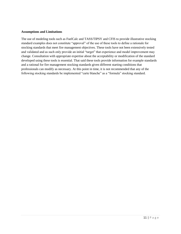#### **Assumptions and Limitations**

The use of modeling tools such as FuelCalc and TASS/TIPSY and CFIS to provide illustrative stocking standard examples does not constitute "approval" of the use of these tools to define a rationale for stocking standards that meet fire management objectives. These tools have not been extensively tested and validated and as such only provide an initial "target" that experience and model improvement may change. Consultation with appropriate expertise about the acceptability or modification of the standard developed using these tools is essential. That said these tools provide information for example standards and a rational for fire management stocking standards given different starting conditions that professionals can modify as necessary. At this point in time, it is not recommended that any of the following stocking standards be implemented "carte blanche" as a "formula" stocking standard.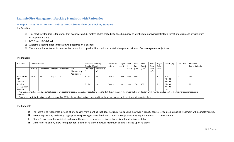### **Example Fire Management Stocking Standards with Rationales**

#### **Example 1 – Southern Interior IDF dk ss1 BEC Subzone Clear Cut Stocking Standard**

The Situation

- □ This stocking standard is for stands that occur within 500 metres of designated interface boundary as identified on provincial strategic threat analysis maps or within fire management plans.
- $\Box$  BEC Zone IDF dk1 ss1.
- Avoiding a spacing prior to free-growing declaration is desired.
- $\Box$  The standard must factor in tree species suitability, crop reliability, maximum sustainable productivity and fire management objectives.

#### <span id="page-12-0"></span>The Standard

<span id="page-12-1"></span>

| <b>BCG Zone</b> | Suitable Species |           |          |                  |                                                                                                                                                                                                                   | <b>Proposed Stocking</b> |            | Silviculture | Target | Min   | Min   | Max     | Max     | Regen | Min Ht (m) | MITD (m) | <b>Broadleaf</b> |
|-----------------|------------------|-----------|----------|------------------|-------------------------------------------------------------------------------------------------------------------------------------------------------------------------------------------------------------------|--------------------------|------------|--------------|--------|-------|-------|---------|---------|-------|------------|----------|------------------|
|                 |                  |           |          |                  |                                                                                                                                                                                                                   | <b>Standard Species</b>  |            | System       | (sph)  |       | PA    | Density | Basal   | Delay |            |          | Comp Ratio (%)   |
|                 | Primary          | Secondary | Tertiary | <b>Broadleaf</b> | Fire                                                                                                                                                                                                              | Preferred                | Acceptable |              |        | (sph) | (sph) | (sph)   | Area    | (yrs) |            |          |                  |
|                 |                  |           |          |                  | Management<br>Appropriate <sup>+</sup>                                                                                                                                                                            | (P)                      | (A)        |              |        |       |       |         | $(m^2)$ |       |            |          |                  |
| IDF - Current   | Fd, Pl           | Py        | Lw, Sx   | At               |                                                                                                                                                                                                                   | Fd, Pl                   | Py         | Clearcut     | 1000   | 400   | 500   |         |         |       | $Pl-1$     |          | 150              |
| <b>FDP</b>      |                  |           |          |                  |                                                                                                                                                                                                                   |                          |            |              |        |       |       |         |         |       | $Fd-0.8$   |          |                  |
| Standard        |                  |           |          |                  |                                                                                                                                                                                                                   |                          |            |              |        |       |       |         |         |       | $Py - 0.6$ |          |                  |
| IDF - Fire      |                  |           |          |                  |                                                                                                                                                                                                                   | Fd, Py                   | Lw         | Clearcut     | 250    | 100   | 150   | 450     |         | 7     | $Fd - 0.8$ |          | 80               |
| Management      |                  |           |          |                  |                                                                                                                                                                                                                   |                          |            |              |        |       |       |         |         |       | $Py - 0.6$ |          |                  |
| Standard        |                  |           |          |                  |                                                                                                                                                                                                                   |                          |            |              |        |       |       |         |         |       | $Lw - 1$   |          |                  |
|                 |                  |           |          |                  | - Fire management appropriate suitable species are additional species ecologically adapted to the site that do not generally maximize timber production which may be used as part of the fire management stocking |                          |            |              |        |       |       |         |         |       |            |          |                  |
| standard.       |                  |           |          |                  |                                                                                                                                                                                                                   |                          |            |              |        |       |       |         |         |       |            |          |                  |
|                 |                  |           |          |                  | $\sim$ Represents the total density of conifers greater than 50% of the specified minimum tree height for the primary species with the highest minimum tree height.                                               |                          |            |              |        |       |       |         |         |       |            |          |                  |

The Rationale

□ The intent is to regenerate a stand at low density from planting that does not require a spacing, however if density control is required a spacing treatment will be implemented.

- □ Decreasing stocking to density target post free growing to meet fire hazard reduction objectives may require additional slash treatment.
- Fd and Py are more fire resistant and so are the preferred species. Lw is also fire resistant and so is acceptable.

Mixtures of Fd and Py allow for higher densities than Fd alone however maximum density is based upon Fd alone.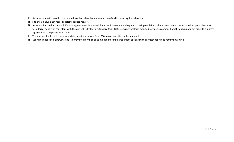- Reduced competition ratio to promote broadleaf less flammable and beneficial in reducing fire behaviour.
- Site should have slash hazard abatement post-harvest.
- □ As a variation on this standard, if a spacing treatment is planned due to anticipated natural regeneration ingrowth it may be appropriate for professionals to prescribe a short term target density of consistent with the current FDP stocking standard (e.g., 1000 stems per hectare) modified for species composition, through planting in order to suppress ingrowth and competing vegetation.
- The spacing should be to the appropriate target low density (e.g., 250 sph) as specified in this standard.
- Use high genetic gain (growth) stock to promote growth so as to maintain future management options such as prescribed fire to remove ingrowth.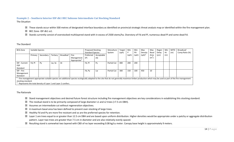#### **Example 2 – Southern Interior IDF dk1 BEC Subzone Intermediate Cut Stocking Standard**

The Situation

- $\Box$  These stands occur within 500 metres of designated interface boundary as identified on provincial strategic threat analysis map or identified within the fire management plan.
- BEC Zone- IDF dk1 ss1.
- □ Stands currently consist of overstocked multilayered stand with in excess of 2500 stems/ha. Overstory of Fd and Pl, numerous dead Pl and some dead Fd.

#### The Standard

<span id="page-14-0"></span>

| <b>BCG Zone</b>                                                                       | Suitable Species |           |          |                  |                                                | <b>Proposed Stocking</b><br><b>Standard Species</b> |                   | Silviculture<br>System | Target<br>(sph) | Min  | Min<br>PA | Max<br>Density | Max<br>Basal    | Regen<br>Delay | Min<br>Ht | <b>MITD</b><br>(m) | <b>BroadLeaf</b><br>Comp Ratio (%)                                                                                                                                                                       |
|---------------------------------------------------------------------------------------|------------------|-----------|----------|------------------|------------------------------------------------|-----------------------------------------------------|-------------------|------------------------|-----------------|------|-----------|----------------|-----------------|----------------|-----------|--------------------|----------------------------------------------------------------------------------------------------------------------------------------------------------------------------------------------------------|
|                                                                                       | Primary          | Secondary | Tertiary | <b>Broadleaf</b> | Fire<br>Management<br>Appropriate <sup>+</sup> | Preferred<br>(P)                                    | Acceptable<br>(A) |                        |                 | (sph | (sph)     | $(sph)^2$      | Area<br>$(m^2)$ | (yrs)          | (m)       |                    |                                                                                                                                                                                                          |
| <b>IDF</b> - Current<br><b>FDP</b><br>Standard                                        | Fd. Pl           | Pv        | Lw, Sx   | At               |                                                | Fd, Pl                                              | Pv                | <b>Partial Cut</b>     | 400             | 200  | 200       |                |                 |                |           |                    |                                                                                                                                                                                                          |
| IDF - Fire<br>Management<br>Standard                                                  |                  |           |          |                  |                                                | Fd, Pv                                              | Lw                | <b>Partial Cut</b>     | 300             | 150  | 100       | 450            | 10              |                |           |                    |                                                                                                                                                                                                          |
| stocking standard.<br>- Represents the total density of Layer 1 and Layer 2 conifers. |                  |           |          |                  |                                                |                                                     |                   |                        |                 |      |           |                |                 |                |           |                    | - Fire management appropriate suitable species are additional species ecologically adapted to the site that do not generally maximize timber production which may be used as part of the fire management |

- Stand management objectives and desired future forest structure including fire management objectives are key considerations in establishing this stocking standard.
- $\Box$  The residual stand is to be primarily composed of large diameter L1 and L2 trees (>7.5 cm DBH).
- Assumes an intermediate cut without regeneration objectives.
- A maximum basal area has been defined to prevent over-stocking of large trees.
- $\Box$  Healthy Fd and Py are more fire resistant and so are the preferred species for retention.
- □ Layer 1 are trees equal to or greater than 12.5 cm DBH and are based upon uniform distribution. Higher densities would be appropriate under a patchy or aggregate distribution pattern. Layer two trees are greater than 7.5 cm in diameter and are also relatively evenly spaced.
- Resulting stand is somewhat two layered with CBD of no layer exceeding 0.08 kg/cu meter. Canopy base height is approximately 9 meters.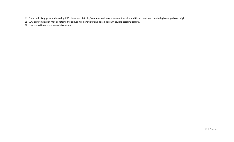- Stand will likely grow and develop CBDs in excess of 0.1 kg/ cu meter and may or may not require additional treatment due to high canopy base height.
- Any occurring aspen may be retained to reduce fire behaviour and does not count toward stocking targets.
- $\Box$  Site should have slash hazard abatement.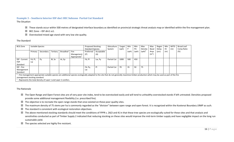#### **Example 3 – Southern Interior IDF dm1 BEC Subzone Partial Cut Standard**

The Situation

- □ These stands occur within 500 metres of designated interface boundary as identified on provincial strategic threat analysis map or identified within the fire management plan.
- $\Box$  BEC Zone IDF dm1 ss1.
- $\Box$  Overstocked mixed age stand with very low site quality.

#### The Standard

<span id="page-16-0"></span>

| <b>BCG Zone</b>                                                     | Suitable Species |           |          |                  |                                                                                                                                                                                               | <b>Proposed Stocking</b> |            | Silviculture       | Target | Min   | Min   | Max     | Max          | Regen | Min | <b>MITD</b> | <b>Broad Leaf</b> |
|---------------------------------------------------------------------|------------------|-----------|----------|------------------|-----------------------------------------------------------------------------------------------------------------------------------------------------------------------------------------------|--------------------------|------------|--------------------|--------|-------|-------|---------|--------------|-------|-----|-------------|-------------------|
|                                                                     |                  |           |          |                  |                                                                                                                                                                                               | <b>Standard Species</b>  |            | System             | (sph)  | D     | PA    | Density | <b>Basal</b> | Delay | Ht  | (m)         | Comp Ratio        |
|                                                                     | Primary          | Secondary | Tertiary | <b>Broadleaf</b> | Fire                                                                                                                                                                                          | Preferred                | Acceptable |                    |        | (sph) | (sph) | (sph)   | Area         | (yrs) | (m) |             | (%)               |
|                                                                     |                  |           |          |                  | Management                                                                                                                                                                                    | (P)                      | (A)        |                    |        |       |       |         | $(m^2)$      |       |     |             |                   |
|                                                                     |                  |           |          |                  | Appropriate <sup>+</sup>                                                                                                                                                                      |                          |            |                    |        |       |       |         |              |       |     |             |                   |
| <b>IDF - Current</b>                                                | Fd, Pl,          | Py        | Bl, Sx   | At, Ep           |                                                                                                                                                                                               | Fd, Pl                   | Lw, Py     | <b>Partial Cut</b> | 1000   | 500   | 450   |         |              |       |     |             |                   |
| <b>FDP</b>                                                          | Lw               |           |          |                  |                                                                                                                                                                                               |                          |            |                    |        |       |       |         |              |       |     |             |                   |
| Standard                                                            |                  |           |          |                  |                                                                                                                                                                                               |                          |            |                    |        |       |       |         |              |       |     |             |                   |
| IDF - Fire                                                          |                  |           |          |                  |                                                                                                                                                                                               | Fd, Py,                  | P          | <b>Partial Cut</b> | 70     | 35    | 50    | 75      |              |       |     |             |                   |
| Management                                                          |                  |           |          |                  |                                                                                                                                                                                               | Lw                       |            |                    |        |       |       |         |              |       |     |             |                   |
| Standard                                                            |                  |           |          |                  |                                                                                                                                                                                               |                          |            |                    |        |       |       |         |              |       |     |             |                   |
|                                                                     |                  |           |          |                  | - Fire management appropriate suitable species are additional species ecologically adapted to the site that do not generally maximize timber production which may be used as part of the fire |                          |            |                    |        |       |       |         |              |       |     |             |                   |
| management stocking standard.                                       |                  |           |          |                  |                                                                                                                                                                                               |                          |            |                    |        |       |       |         |              |       |     |             |                   |
| $4$ - Represents the total density of Layer 1 and Layer 2 conifers. |                  |           |          |                  |                                                                                                                                                                                               |                          |            |                    |        |       |       |         |              |       |     |             |                   |

- □ The Open Range and Open Forest sites are of very poor site index, tend to be overstocked easily and will tend to unhealthy overstocked stands if left untreated. Densities proposed provide some additional management flexibility (i.e. prescribed fire).
- $\Box$  The objective is to recreate the open range stands that once existed on these poor quality sites.
- □ The maximum density of 75 stems per ha is commonly regarded as the "division" between open range and open forest. It is recognized within the Kootenai Boundary LRMP as such.
- $\Box$  The standard is consistent with ecological restoration objectives.
- $\Box$  The above mentioned stocking standards should meet the conditions of FPPR s. 26(3 and 4) in that these tree species are ecologically suited for these sites and that analysis and sensitivities conducted as part of Timber Supply 2 indicated that reducing stocking on these sites would improve the mid-term timber supply and have negligible impact on the long run sustainable yield.
- $\Box$  The species selected are highly fire resistant.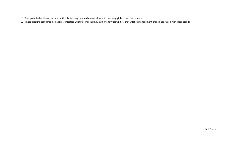- Canopy bulk densities associated with this stocking standard are very low with near negligible crown fire potential.
- □ These stocking standards also address interface wildfire concerns (e.g. high intensity crown fire) that wildfire management branch has raised with these stands.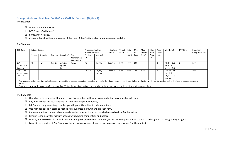# **Example 4 – Lower Mainland South Coast CWH dm Subzone (Option 1)**

The Situation

- Within 2 km of interface.
- $\Box$  BEC Zone CWH dm ss1.
- $\blacksquare$  Somewhat rich site.
- $\Box$  Concern that the climate envelope of this part of the CWH may become more warm and dry.

### The Standard

<span id="page-18-0"></span>

| <b>BCG Zone</b>    | Suitable Species |           |          |                  |                                        | <b>Proposed Stocking</b><br><b>Standard Species</b> |            | Silviculture<br>System | Target<br>(sph) | Min   | Min<br>PA | Max<br>Density | Max<br>Basal      | Regen<br>Delay | Min Ht (m)                                                                                                                                                                                                        | MITD (m) | <b>Broadleaf</b><br>Comp Ratio (%) |
|--------------------|------------------|-----------|----------|------------------|----------------------------------------|-----------------------------------------------------|------------|------------------------|-----------------|-------|-----------|----------------|-------------------|----------------|-------------------------------------------------------------------------------------------------------------------------------------------------------------------------------------------------------------------|----------|------------------------------------|
|                    | Primary          | Secondary | Tertiary | <b>Broadleaf</b> | Fire                                   | Preferred                                           | Acceptable |                        |                 | (sph) | (sph)     | $(sph)^2$      | Area              | (yrs)          |                                                                                                                                                                                                                   |          |                                    |
|                    |                  |           |          |                  | Management<br>Appropriate <sup>+</sup> | (P)                                                 | (A)        |                        |                 |       |           |                | (m <sup>2</sup> ) |                |                                                                                                                                                                                                                   |          |                                    |
| CWH -              | Fd               | Hw        | Pw, Cw   | Act, Dr,         | Py, Lw                                 | Fd,                                                 | Hw, Cw     | Clear Cut              | 900             | 400   | 500       |                |                   |                | $Fd/Hw - 3.0$                                                                                                                                                                                                     |          | 150                                |
| <b>Current FDP</b> |                  |           |          | Ep, Mb,          |                                        |                                                     |            |                        |                 |       |           |                |                   |                | $Pw - 2.5$                                                                                                                                                                                                        |          |                                    |
| Standard           |                  |           |          | Ra               |                                        |                                                     |            |                        |                 |       |           |                |                   |                | others $-1.5$                                                                                                                                                                                                     |          |                                    |
| CWH - Fire         |                  |           |          |                  |                                        | Fd, Pw                                              | Cw, Py,    | Clear Cut              | 900             | 600   | 700       | 1000           |                   |                | $Fw/Hw - 3.0$                                                                                                                                                                                                     |          | 100                                |
| Management         |                  |           |          |                  |                                        |                                                     | Lw, Hw     |                        |                 |       |           |                |                   |                | $Pw - 2.5$                                                                                                                                                                                                        |          |                                    |
| Standard           |                  |           |          |                  |                                        |                                                     |            |                        |                 |       |           |                |                   |                | $Cw/Lw - 1.5$                                                                                                                                                                                                     |          |                                    |
|                    |                  |           |          |                  |                                        |                                                     |            |                        |                 |       |           |                |                   |                | $P_V - 0.6$                                                                                                                                                                                                       |          |                                    |
|                    |                  |           |          |                  |                                        |                                                     |            |                        |                 |       |           |                |                   |                | - Fire management appropriate suitable species are additional species ecologically adapted to the site that do not generally maximize timber production which may be used as part of the fire management stocking |          |                                    |

standard.

2 - Represents the total density of conifers greater than 50 % of the specified minimum tree height for the primary species with the highest minimum tree height.

- Objective is to reduce likelihood of crown fire initiation with concurrent reduction in canopy bulk density.
- $\Box$  Fd, Pw are both fire resistant and Pw reduces canopy bulk density.
- $\Box$  Fd, Pw are complementary similar growth potential suited to drier conditions.
- Use high genetic gain stock to reduce rust, suppress ingrowth and bracken fern.
- Relax competition ratio to allow some broadleaf species if they occur which would reduce fire behaviour.
- $\Box$  Reduce regen delay for fast site occupancy reducing competition and hazard.
- □ Density and MITD should be high and low enough respectively for ingrowth/understory suppression and crown base height lift to free growing at age 20.
- May still be a period of 2 or 3 years of hazard as trees establish and grow crown closure by age 6 at the earliest.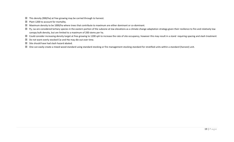- This density (900/ha) at free growing may be carried through to harvest.
- **P** Plant 1200 to account for mortality.
- Maximum density to be 1000/ha where trees that contribute to maximum are either dominant or co-dominant.
- Py, Lw are considered tertiary species in the eastern portion of the subzone at low elevations as a climate change adaptation strategy given their resilience to fire and relatively low canopy bulk density, but are limited to a maximum of 200 stems per ha.
- □ Could consider increasing density target at free growing to 1200 sph to increase the rate of site occupancy, however this may result in a stand requiring spacing and slash treatment
- Do not want overly stocked Cw and Hw may die out over time.
- $\Box$  Site should have had slash hazard abated.
- □ One can easily create a mixed wood standard using standard stocking or fire management stocking standard for stratified units within a standard (harvest) unit.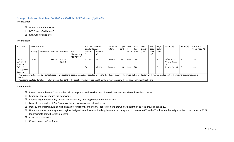#### **Example 5 – Lower Mainland South Coast CWH dm BEC Subzone (Option 2)** The Situation

- Within 2 km of interface.
- $\Box$  BEC Zone CWH dm ss5.
- $\Box$  Rich well-drained site.

#### The Standard

<span id="page-20-0"></span>

| <b>BCG Zone</b>    | Suitable Species |           |          |           |                                                                                                                                                                      | <b>Proposed Stocking</b> |            | Silviculture | Target | Min   | Min   | Max                | Max               | Regen | Min Ht (m)                                                                                                                                                                                                        | MITD (m) | BroadLeaf      |
|--------------------|------------------|-----------|----------|-----------|----------------------------------------------------------------------------------------------------------------------------------------------------------------------|--------------------------|------------|--------------|--------|-------|-------|--------------------|-------------------|-------|-------------------------------------------------------------------------------------------------------------------------------------------------------------------------------------------------------------------|----------|----------------|
|                    |                  |           |          |           |                                                                                                                                                                      | <b>Standard Species</b>  |            | System       | (sph)  |       | PA    | Density            | Basal             | Delay |                                                                                                                                                                                                                   |          | Comp Ratio (%) |
|                    | Primary          | Secondary | Tertiary | Broadleaf | Fire                                                                                                                                                                 | Preferred                | Acceptable |              |        | (sph) | (sph) | (sph) <sup>2</sup> | Area              | (yrs) |                                                                                                                                                                                                                   |          |                |
|                    |                  |           |          |           | Management<br>Appropriate <sup>+</sup>                                                                                                                               | (P)                      | (A)        |              |        |       |       |                    | (m <sup>2</sup> ) |       |                                                                                                                                                                                                                   |          |                |
| CWH-               | Cw, Fd           |           | Pw, Hw   | Act, Dr,  |                                                                                                                                                                      | Fd, Cw                   | Hw         | Clear Cut    | 900    | 400   | 500   |                    |                   | З     | $Fd/Hw - 3.0$                                                                                                                                                                                                     |          | 150            |
| <b>Current FDP</b> |                  |           |          | Ep, Mb    |                                                                                                                                                                      |                          |            |              |        |       |       |                    |                   |       | Pw-2.5 Others                                                                                                                                                                                                     |          |                |
| Standard           |                  |           |          |           |                                                                                                                                                                      |                          |            |              |        |       |       |                    |                   |       | 1.5                                                                                                                                                                                                               |          |                |
| CWH - Fire         |                  |           |          |           |                                                                                                                                                                      | Dr                       | Mb, Ep     | Clear Cut    | 1200   | 500   | 700   |                    |                   |       | Dr, Mb, Ep $-4.0$   2                                                                                                                                                                                             |          | 150            |
| Management         |                  |           |          |           |                                                                                                                                                                      |                          |            |              |        |       |       |                    |                   |       |                                                                                                                                                                                                                   |          |                |
| Standard           |                  |           |          |           |                                                                                                                                                                      |                          |            |              |        |       |       |                    |                   |       |                                                                                                                                                                                                                   |          |                |
|                    |                  |           |          |           |                                                                                                                                                                      |                          |            |              |        |       |       |                    |                   |       | - Fire management appropriate suitable species are additional species ecologically adapted to the site that do not generally maximize timber production which may be used as part of the fire management stocking |          |                |
| standard.          |                  |           |          |           |                                                                                                                                                                      |                          |            |              |        |       |       |                    |                   |       |                                                                                                                                                                                                                   |          |                |
|                    |                  |           |          |           | $^2$ - Represents the total density of conifers greater than 50 % of the specified minimum tree height for the primary species with the highest minimum tree height. |                          |            |              |        |       |       |                    |                   |       |                                                                                                                                                                                                                   |          |                |

- Intend to compliment Coast Hardwood Strategy and produce short rotation red alder and associated broadleaf species.
- B Broadleaf species reduce fire behaviour.
- $\Box$  Reduce regeneration delay for fast site occupancy reducing competition and hazard.
- May still be a period of 2 or 3 years of hazard as trees establish and grow.
- Density and MITD should be high enough for ingrowth/understory suppression and crown base height lift to free growing at age 20.
- □ Under an intensive management regime designed to reduce rotation length stands can be spaced to between 600 and 800 sph when the height to live crown ration is 50 % (approximate stand height 10 meters).
- Plant 1400 stems/ha.
- $\Box$  Crown closure in 3 or 4 years.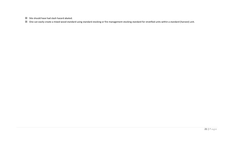$\Box$  Site should have had slash hazard abated.

□ One can easily create a mixed wood standard using standard stocking or fire management stocking standard for stratified units within a standard (harvest) unit.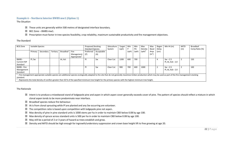#### **Example 6 – Northern Interior BWBS mw1 (Option 1)**

The Situation

- These units are generally within 500 metres of designated interface boundary.
- $\Box$  BEC Zone BWBS mw1.
- □ Prescription must factor in tree species feasibility, crop reliability, maximum sustainable productivity and fire management objectives.

<span id="page-22-0"></span>

| <b>BCG Zone</b>    | Suitable Species |           |          |                  |                                                                                                                                                                | <b>Proposed Stocking</b> |            | Silviculture | Target | Min   | Min   | Max       | Max               | Regen | Min Ht (m)                                                                                                                                                                                                        | <b>MITD</b> | <b>Broadleaf</b> |
|--------------------|------------------|-----------|----------|------------------|----------------------------------------------------------------------------------------------------------------------------------------------------------------|--------------------------|------------|--------------|--------|-------|-------|-----------|-------------------|-------|-------------------------------------------------------------------------------------------------------------------------------------------------------------------------------------------------------------------|-------------|------------------|
|                    |                  |           |          |                  |                                                                                                                                                                | <b>Standard Species</b>  |            | System       | (sph)  |       | PA    | Density   | Basal             | Delay |                                                                                                                                                                                                                   | (m)         | Comp Ratio (%)   |
|                    | Primary          | Secondary | Tertiary | <b>Broadleaf</b> | Fire                                                                                                                                                           | Preferred                | Acceptable |              |        | (sph) | (sph) | $(sph)^2$ | Area              | (yrs) |                                                                                                                                                                                                                   |             |                  |
|                    |                  |           |          |                  | Management                                                                                                                                                     | (P)                      | (A)        |              |        |       |       |           | (m <sup>2</sup> ) |       |                                                                                                                                                                                                                   |             |                  |
|                    |                  |           |          |                  | Appropriate <sup>+</sup>                                                                                                                                       |                          |            |              |        |       |       |           |                   |       |                                                                                                                                                                                                                   |             |                  |
| BWBS -             | Pl, Sw           |           |          | At, Act          |                                                                                                                                                                | -PI                      | Sw         | Clear Cut    | 1200   | 600   | 700   |           |                   | 4     | $Sw - 2.5$                                                                                                                                                                                                        |             | 150              |
| <b>Current FDP</b> |                  |           |          |                  |                                                                                                                                                                |                          |            |              |        |       |       |           |                   |       | Pl, At, Acb - 2.0                                                                                                                                                                                                 |             |                  |
| Standard           |                  |           |          |                  |                                                                                                                                                                |                          |            |              |        |       |       |           |                   |       |                                                                                                                                                                                                                   |             |                  |
| <b>BWBS - Fire</b> |                  |           |          |                  |                                                                                                                                                                | -PI                      | Sw         | Clear Cut    | 900    | 700   | 600   | 1000      |                   |       | $Sw - 2.5$                                                                                                                                                                                                        |             | 100              |
| Management         |                  |           |          |                  |                                                                                                                                                                |                          |            |              |        |       |       |           |                   |       | Pl, At, Acb - 2.0                                                                                                                                                                                                 |             |                  |
| Standard           |                  |           |          |                  |                                                                                                                                                                |                          |            |              |        |       |       |           |                   |       |                                                                                                                                                                                                                   |             |                  |
|                    |                  |           |          |                  |                                                                                                                                                                |                          |            |              |        |       |       |           |                   |       | - Fire management appropriate suitable species are additional species ecologically adapted to the site that do not generally maximize timber production which may be used as part of the fire management stocking |             |                  |
| standard.          |                  |           |          |                  |                                                                                                                                                                |                          |            |              |        |       |       |           |                   |       |                                                                                                                                                                                                                   |             |                  |
|                    |                  |           |          |                  | - Represents the total density of conifers greater than 50% of the specified minimum tree height for the primary species with the highest minimum tree height. |                          |            |              |        |       |       |           |                   |       |                                                                                                                                                                                                                   |             |                  |

- □ Intent is to produce a mixedwood stand of lodgepole pine and aspen in which aspen cover generally exceeds cover of pine. The pattern of species should reflect a mixture in which clonal aspen tends to be more predominate near interface.
- **B** Broadleaf species reduce fire behaviour.
- $\Box$  At is from clonal sprouting while PI are planted and any Sw occurring are volunteer.
- $\Box$  The competition ratio is based upon competition with lodgepole pine not aspen.
- Max density of pine in pine standard units is 1000 stems per ha in order to maintain CBD below 0.08 by age 100.
- Max density of spruce across standard units is 500 per ha in order to maintain CBD below 0.08 by age 100.
- May still be a period of 2 or 3 years of hazard as trees establish and grow.
- Density and MITD should be high enough for ingrowth/understory suppression and crown base height lift to free growing at age 20.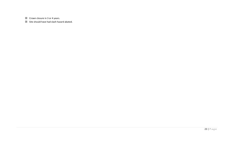$\Box$  Crown closure in 3 or 4 years.

 $\Box$  Site should have had slash hazard abated.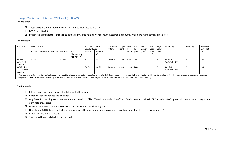#### **Example 7 – Northern Interior BWBS mw1 (Option 2)**

The Situation

- These units are within 500 metres of designated interface boundary.
- $\Box$  BEC Zone BWBS.
- □ Prescription must factor in tree species feasibility, crop reliability, maximum sustainable productivity and fire management objectives.

|  | The Standard |
|--|--------------|
|--|--------------|

<span id="page-24-0"></span>

| <b>BCG Zone</b>    | Suitable Species |           |          |           |                                                                                                                                                                | <b>Proposed Stocking</b> |            | Silviculture | Target | Min   | Min   | Max       | Max     | Regen | Min Ht (m)                                                                                                                                                                                                                  | MITD (m) | Broadleaf  |
|--------------------|------------------|-----------|----------|-----------|----------------------------------------------------------------------------------------------------------------------------------------------------------------|--------------------------|------------|--------------|--------|-------|-------|-----------|---------|-------|-----------------------------------------------------------------------------------------------------------------------------------------------------------------------------------------------------------------------------|----------|------------|
|                    |                  |           |          |           |                                                                                                                                                                | <b>Standard Species</b>  |            | System       | (sph)  |       | PA    | Density   | Basal   | Delay |                                                                                                                                                                                                                             |          | Comp Ratio |
|                    | Primary          | Secondary | Tertiary | Broadleaf | Fire                                                                                                                                                           | Preferred                | Acceptable |              |        | (sph) | (sph) | $(sph)^2$ | Area    | (yrs) |                                                                                                                                                                                                                             |          | (%)        |
|                    |                  |           |          |           | Management                                                                                                                                                     | (P)                      | (A)        |              |        |       |       |           | $(m^2)$ |       |                                                                                                                                                                                                                             |          |            |
|                    |                  |           |          |           | Appropriate <sup>+</sup>                                                                                                                                       |                          |            |              |        |       |       |           |         |       |                                                                                                                                                                                                                             |          |            |
| BWBS -             | Pl, Sw           |           |          | At, Act   |                                                                                                                                                                | -PI                      | Sw         | Clear Cut    | 1200   | 600   | 700   |           |         |       | $Sw - 2.5$                                                                                                                                                                                                                  |          | 150        |
| <b>Current FDP</b> |                  |           |          |           |                                                                                                                                                                |                          |            |              |        |       |       |           |         |       | Pl, At, Acb - 2.0                                                                                                                                                                                                           |          |            |
| Standard           |                  |           |          |           |                                                                                                                                                                |                          |            |              |        |       |       |           |         |       |                                                                                                                                                                                                                             |          |            |
| <b>BWBS - Fire</b> |                  |           |          |           |                                                                                                                                                                | At. Act                  | Sw, Pl     | Clear Cut    | 3500   | 1700  | 2000  |           |         |       | $Sw - 2.5$                                                                                                                                                                                                                  |          | 100        |
| Management         |                  |           |          |           |                                                                                                                                                                |                          |            |              |        |       |       |           |         |       | Pl, At, Acb - 2.0                                                                                                                                                                                                           |          |            |
| Standard           |                  |           |          |           |                                                                                                                                                                |                          |            |              |        |       |       |           |         |       |                                                                                                                                                                                                                             |          |            |
|                    |                  |           |          |           |                                                                                                                                                                |                          |            |              |        |       |       |           |         |       | - Fire management appropriate suitable species are additional species ecologically adapted to the site that do not generally maximize timber production which may be used as part of the fire management stocking standard. |          |            |
|                    |                  |           |          |           | - Represents the total density of conifers greater than 50% of the specified minimum tree height for the primary species with the highest minimum tree height. |                          |            |              |        |       |       |           |         |       |                                                                                                                                                                                                                             |          |            |

- Intend to produce a broadleaf stand dominated by aspen.
- B Broadleaf species reduce fire behaviour.
- □ Any Sw or Pl occurring are volunteer and max density of Pl is 1000 while max density of Sw is 500 in order to maintain CBD less than 0.08 kg per cubic meter should only conifers dominate these sites.
- May still be a period of 2 or 3 years of hazard as trees establish and grow.
- Density and MITD should be high enough for ingrowth/understory suppression and crown base height lift to free growing at age 20.
- $\Box$  Crown closure in 3 or 4 years.
- $\Box$  Site should have had slash hazard abated.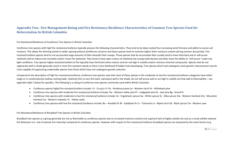# **Appendix Two: Fire Management Rating and Fire Resistance/Resilience Characteristics of Common Tree Species Used for Reforestation In British Columbia**

#### Fire Resistance/Resilience of Coniferous Tree Species in British Columbia

Coniferous tree species with high fire resistance/resilience typically possess the following characteristics. They tend to be deep rooted thus increasing wind-firmness and ability to access soil moisture. This allows for thinning stands to wider spacing without windthrow concerns and these species tend to maintain higher foliar moisture content during summer dry periods. Fire resistant/resilient species tend to not accumulate large amounts of litter beneath their canopy. Those species that do accumulate litter usually tend to have thick bark and or self-prune relatively well to reduce tree mortality and/or crown fire potential. They tend to have open crowns of relatively low canopy bulk density and often have the ability to "self-prune" under low light conditions. Tree species highly resistant/resilient to fire typically have thick bark when mature and are not high in volatile and/or resinous chemical compounds. Species that do not regenerate well in shade generally result in more fire resistant stands as there is less likelihood of ladder fuels developing. Tree species which had undergone some genetic improvement may be more capable of suppressing undesirable species than those which have not undergone genetic selection.

<span id="page-25-0"></span>Compared to the description of high fire resistance/resilience coniferous tree species note that most of these species in the moderate to low fire resistance/resilience categories have either singly or in combination(s) shallow rooting habit, relatively thin to very thin bark, reproduce well in the shade, do not self-prune well or are high in volatile oils that add to flammability – see appendix table 1 below for specifics. The following is a rating of coniferous tree species commonly used within British Columbia.

- Coniferous species highly fire resistant/resilient include: Fd Douglas-fir Py Ponderosa pine Lw Western larch Pa Whitebark pine
- Coniferous tree species with moderate fire resistance/resilience include: Pw Western white pine Pl Lodgepole pine Pj Jack pine Bg Grand fir
- Coniferous tree species with moderate to low fire resistance/resilience include: Se Engelmann spruce Sw White spruce Ss Sitka spruce Hw Western hemlock Hm Mountain hemlock Cw - Western redcedar Yc - Yellow cedar
- Coniferous tree species with low fire resistance/resilience include: Ba Amabilis fir Bl Subalpine fir Lt Tamarack La Alpine larch Sb Black spruce Tw Western yew

Fire Resistance/Resilience of Broadleaf Tree Species in British Columbia

Broadleaf tree species as a group generally are not as flammable as coniferous species due to increased moisture content and a general lack of highly volatile oils and as a result exhibit reduced fire behaviour (i.e. rate of spread, fire intensity) compared to coniferous species. However with respect to fire resistance/resilience broadleaf species are impacted by the same factors (e.g.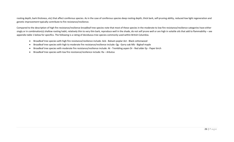rooting depth, bark thickness, etc) that affect coniferous species. As in the case of coniferous species deep rooting depth, thick bark, self-pruning ability, reduced low light regeneration and genetic improvement typically contribute to fire resistance/resilience.

Compared to the description of high fire resistance/resilience broadleaf tree species note that most of these species in the moderate to low fire resistance/resilience categories have either singly or in combination(s) shallow rooting habit, relatively thin to very thin bark, reproduce well in the shade, do not self prune well or are high in volatile oils that add to flammability – see appendix table 1 below for specifics. The following is a rating of deciduous tree species commonly used within British Columbia.

- Broadleaf tree species with high fire resistance/resilience include: Acb Balsam poplar Act Black cottonwood
- Broadleaf tree species with high to moderate fire resistance/resilience include: Qg Garry oak Mb Bigleaf maple
- Broadleaf tree species with moderate fire resistance/resilience include: At Trembling aspen Dr Red alder Ep Paper birch
- Broadleaf tree species with low fire resistance/resilience include: Ra Arbutus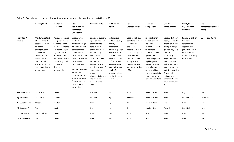|                                 | <b>Rooting Habit</b>                                                                                                                                                                                              | <b>Conifer or</b><br><b>Broadleaf</b>                                                                                                                                                                                        | Litter<br><b>Accumulation</b><br>Associated<br><b>Understory</b>                                                                                                                                                                                                                                                        | <b>Crown Density</b>                                                                                                                                                                                                                                                                                         | <b>Self Pruning</b><br>Ability                                                                                                                                                                                                                                             | Bark<br>Characteristics                                                                                                                                                                                                          | Chemical<br>Composition                                                                                                                                                                                                                                                                | Genetic<br>Improvement                                                                                                                                                                                                                                                                                                  | Low light<br>Regeneration<br>Potential                                                                                                    | <b>Fire</b><br><b>Resistance/Resilience</b><br>Rating |
|---------------------------------|-------------------------------------------------------------------------------------------------------------------------------------------------------------------------------------------------------------------|------------------------------------------------------------------------------------------------------------------------------------------------------------------------------------------------------------------------------|-------------------------------------------------------------------------------------------------------------------------------------------------------------------------------------------------------------------------------------------------------------------------------------------------------------------------|--------------------------------------------------------------------------------------------------------------------------------------------------------------------------------------------------------------------------------------------------------------------------------------------------------------|----------------------------------------------------------------------------------------------------------------------------------------------------------------------------------------------------------------------------------------------------------------------------|----------------------------------------------------------------------------------------------------------------------------------------------------------------------------------------------------------------------------------|----------------------------------------------------------------------------------------------------------------------------------------------------------------------------------------------------------------------------------------------------------------------------------------|-------------------------------------------------------------------------------------------------------------------------------------------------------------------------------------------------------------------------------------------------------------------------------------------------------------------------|-------------------------------------------------------------------------------------------------------------------------------------------|-------------------------------------------------------|
| Fire Effect /<br><b>Species</b> | Moisture content<br>of deep rooted<br>species tends to<br>be higher<br>throughout any<br>summer dry<br>period reducing<br>flammability.<br>Deep rooted<br>species tend to be<br>less susceptible to<br>windthrow. | Deciduous species<br>are generally less<br>flammable than<br>coniferous species<br>due commonly to<br>higher moisture<br>contents, often<br>less dense crowns<br>and usually a lack<br>of volatile<br>chemical<br>compounds. | Species which<br>tend not to<br>accumulate large<br>amounts of litter<br>beneath them<br>tend to resist<br>crown fire and be<br>more fire resistant<br>depending on<br>bark thickness.<br>Species associated<br>with abundant<br>understories may<br>experience more<br>fire and may be<br>more prone to<br>crown fire. | Species with more<br>open crowns and<br>sparse foliage<br>tend to resist<br>active crown fires<br>more than species<br>with dense<br>crowns. Canopy<br>bulk density<br>figures provide a<br>relative ranking of<br>species. Stand<br>canopy<br>characteristics are<br>often density<br>dependent as<br>well. | Self pruning<br>ability is usually<br>density<br>dependent<br>however species<br>which are more<br>shade tolerant<br>generally do not<br>self prune well.<br>Increased canopy<br>base height as a<br>result of self<br>pruning reduces<br>the likelihood of<br>crown fire. | Species with thick<br>bark tend to resist<br>(survive) fire<br>better than<br>species with thin<br>bark. Most species<br>have relatively<br>thin bark when<br>young which<br>tends to reduce<br>survival in the face<br>of fire. | Species high in<br>volatile and or<br>resinous<br>compounds tend<br>to be more<br>flammable than<br>species low in<br>these compounds.<br>Highly lignified<br>species often tend<br>to produce more<br>smoke and burn<br>for longer periods<br>than those with<br>less lignin content. | Species that have<br>been genetically<br>improved in, for<br>example, height<br>growth may help<br>suppress<br>understory<br>vegetation and<br>ladder fuels as<br>well as self prune<br>sooner assuming<br>sufficient density.<br><b>Blister rust</b><br>resistance may<br>enhance the use<br>of western white<br>pine. | Species with high<br>low light<br>regeneration<br>capacity may<br>provide a source<br>of ladder fuels<br>thus encouraging<br>crown fires. | <b>Categorical Rating</b>                             |
| <b>Ba - Amabilis fir</b>        | Moderate                                                                                                                                                                                                          | Conifer                                                                                                                                                                                                                      |                                                                                                                                                                                                                                                                                                                         | Medium                                                                                                                                                                                                                                                                                                       | High                                                                                                                                                                                                                                                                       | Thin                                                                                                                                                                                                                             | Medium-Low                                                                                                                                                                                                                                                                             | None                                                                                                                                                                                                                                                                                                                    | High                                                                                                                                      | Low                                                   |
| Bg - Grand fir                  | Moderate                                                                                                                                                                                                          | Conifer                                                                                                                                                                                                                      |                                                                                                                                                                                                                                                                                                                         | Medium                                                                                                                                                                                                                                                                                                       | High                                                                                                                                                                                                                                                                       | Medium                                                                                                                                                                                                                           | Medium-Low?                                                                                                                                                                                                                                                                            | None                                                                                                                                                                                                                                                                                                                    | Medium-Low                                                                                                                                | Moderate                                              |
| <b>BI</b> - Subalpine fir       | Moderate                                                                                                                                                                                                          | Conifer                                                                                                                                                                                                                      |                                                                                                                                                                                                                                                                                                                         | Low                                                                                                                                                                                                                                                                                                          | High                                                                                                                                                                                                                                                                       | Thin                                                                                                                                                                                                                             | Medium-Low                                                                                                                                                                                                                                                                             | None                                                                                                                                                                                                                                                                                                                    | High                                                                                                                                      | Low                                                   |
| Fd - Douglas-fir                | Deep                                                                                                                                                                                                              | Conifer                                                                                                                                                                                                                      |                                                                                                                                                                                                                                                                                                                         | High                                                                                                                                                                                                                                                                                                         | High                                                                                                                                                                                                                                                                       | Thick                                                                                                                                                                                                                            | Medium-Low                                                                                                                                                                                                                                                                             | Growth                                                                                                                                                                                                                                                                                                                  | Low-High                                                                                                                                  | High                                                  |
| Lt-Tamarack                     | Deep-Shallow                                                                                                                                                                                                      | Conifer                                                                                                                                                                                                                      |                                                                                                                                                                                                                                                                                                                         | Low                                                                                                                                                                                                                                                                                                          | Low                                                                                                                                                                                                                                                                        | Thin                                                                                                                                                                                                                             | Low                                                                                                                                                                                                                                                                                    | None                                                                                                                                                                                                                                                                                                                    | Low                                                                                                                                       | Low                                                   |
| La - Alpine larch               | Deep                                                                                                                                                                                                              | Conifer                                                                                                                                                                                                                      |                                                                                                                                                                                                                                                                                                                         | Low                                                                                                                                                                                                                                                                                                          | N/A                                                                                                                                                                                                                                                                        | Thin                                                                                                                                                                                                                             | Low                                                                                                                                                                                                                                                                                    | None                                                                                                                                                                                                                                                                                                                    | Low                                                                                                                                       | Low                                                   |

## Table 1. Fire related characteristics for tree species commonly used for reforestation in BC.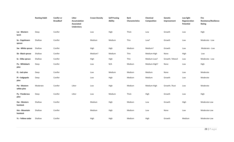|                            | <b>Rooting Habit</b> | <b>Conifer or</b><br><b>Broadleaf</b> | Litter<br>Accumulation<br>Associated<br><b>Understory</b> | <b>Crown Density</b> | <b>Self Pruning</b><br>Ability | <b>Bark</b><br><b>Characteristics</b> | Chemical<br>Composition | Genetic<br>Improvement | Low light<br>Regeneration<br>Potential | Fire<br><b>Resistance/Resilience</b><br>Rating |
|----------------------------|----------------------|---------------------------------------|-----------------------------------------------------------|----------------------|--------------------------------|---------------------------------------|-------------------------|------------------------|----------------------------------------|------------------------------------------------|
| Lw - Western<br>larch      | Deep                 | Conifer                               |                                                           | Low                  | High                           | Thick                                 | Low                     | Growth                 | Low                                    | High                                           |
| Se - Engelmann<br>spruce   | Shallow              | Conifer                               |                                                           | Medium               | Medium                         | Thin                                  | Low?                    | Growth                 | Low                                    | Moderate - Low                                 |
| Sw - White spruce          | Shallow              | Conifer                               |                                                           | High                 | High                           | Medium                                | Medium?                 | Growth                 | Low                                    | Moderate - Low                                 |
| Sb - Black spruce          | Shallow              | Conifer                               |                                                           | Medium?              | Medium                         | Thin                                  | Medium-High             | None                   | High                                   | Low                                            |
| Ss - Sitka spruce          | Shallow              | Conifer                               |                                                           | High                 | High                           | Thin                                  | Medium-Low?             | Growth / Weevil        | Low                                    | Moderate - Low                                 |
| Pa - Whitebark<br>pine     | Deep                 | Conifer                               |                                                           | Low                  | N/A                            | Medium                                | Medium-High?            | None                   | Low                                    | High                                           |
| Pj - Jack pine             | Deep                 | Conifer                               |                                                           | Low                  | Medium                         | Medium                                | Medium                  | None                   | Low                                    | Moderate                                       |
| PI-lodgepole<br>pine       | Deep                 | Conifer                               |                                                           | Low                  | High                           | Medium                                | Medium                  | Growth                 | Low                                    | Moderate                                       |
| Pw - Western<br>white pine | Moderate             | Conifer                               | Litter                                                    | Low                  | High                           | Medium                                | Medium-High             | Growth / Rust          | Low                                    | Moderate                                       |
| Py - Ponderosa<br>pine     | Deep                 | Conifer                               | Litter                                                    | Low                  | Medium                         | Thick                                 | High                    | Growth                 | Low                                    | High                                           |
| Hw - Western<br>hemlock    | Shallow              | Conifer                               |                                                           | Medium               | High                           | Medium                                | Low                     | Growth                 | High                                   | Moderate-Low                                   |
| Hm - Mountain<br>hemlock   | Shallow              | Conifer                               |                                                           | Medium               | High                           | Medium                                | Low                     | None                   | Low                                    | Moderate-Low                                   |
| Yc - Yellow cedar          | Shallow              | Conifer                               |                                                           | High                 | High                           | Medium                                | High                    | Growth                 | Medium                                 | Moderate-Low                                   |